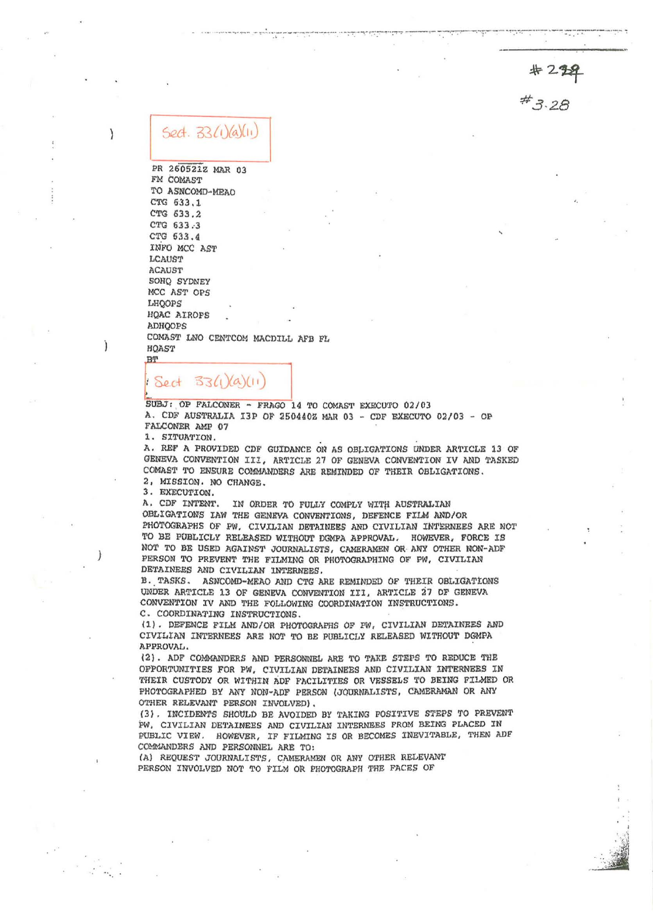$*229$ <br> $*3.28$ 

## $5ed. 33(1)(a)(i)$

 $\mathcal{E}$ 

 $\mathfrak{f}$ 

PR 260521Z MAR 03 FM COMAST TO ASNCOMD-MEAO CTG 633.1 CTG 633.2 CTG 633.3 CTG 533.4 INFO MCC AST LCAUST ACAUST SOHQ SYDNEY MCC AST OPS LHQOPS HQAC AIROPS ADHQOPS COMAST LNO CENTCOM NACDILL AFB FL HQAST BT

## Sect 33(1)(a)(11)

SUBJ: OP FALCONER - FRAGO 14 TO COMAST EXECUTO 02/03 A. CDF AUSTRALIA I3P OF 250440Z MAR 03 - CDF EXECUTO 02/03 - OP FALCONER AMP 07

1. SITUATION.

A. REF A PROVIDED CDF GUIDANCE ON AS OBLIGATIONS UNDER ARTICLE 13 OF GENEVA CONVENTION III, ARTICLE 27 OF GENEVA CONVENTION IV AND TASKED COMAST TO ENSURE COMMANDERS ARE REMINDED OF THEIR OBLIGATIONS. 2, MISSION. NO CHANGE.

3. EXECUTION.

A. CDF INTENT. IN ORDER TO FULLY COMPLY WITH AUSTRALIAN OBLIGATIONS IAW THE GENEVA CONVENTIONS, DEFENCE FILM AND/OR PHOTOGRAPHS OF PW. CIVILIAN DETAINEES AND CIVILIAN INTERNEES ARE NOT TO BE PUBLICLY RELEASED WITHOUT DOMPA APPROVAL. HOWEVER, FORCE IS NOT TO BE USED AGAINST JOURNALISTS, CAMERAMEN OR ANY OTHER NON-ADF PERSON TO PREVENT THE FILMING OR PHOTOGRAPHING OF PW. CIVILIAN DETAINEES AND CIVILIAN INTERNEES.

B. TASKS. ASNCOMD-MEAO AND CTG ARE REMINDED OF THEIR OBLIGATIONS UNDER ARTICLE 13 OF GENEVA CONVENTION III, ARTICLE 27 OF GENEVA CONVENTION IV AND THE FOLLOWING COORDINATION INSTRUCTIONS. C. COORDINATING INSTRUCTIONS.

(1). DEFENCE FILM AND/OR PHOTOGRAPHS OF PW. CIVILIAN DETAINEES AND CIVILIAN INTERNEES ARE NOT TO BE PUBLICLY RELEASED WITHOUT DGMPA APPROVAL.

(2). ADF COMMANDERS AND PERSONNEL ARE TO TAKE STEPS TO REDUCE THE OPPORTUNITIES FOR PW, CIVILIAN DETAINEES AND CIVILIAN INTERNEES IN THEIR CUSTODY OR WITHIN ADF FACILITIES OR VESSELS TO BEING FILMED OR PHOTOGRAPHED BY ANY NON-ADF PERSON (JOURNALISTS, CAMBRAMAN OR ANY OTHER RELEVANT PERSON INVOLVED).

(3). INCIDENTS SHOULD BE AVOIDED BY TAKING POSITIVE STEPS TO PREVENT PW, CIVILIAN DETAINEES AND CIVILIAN INTERNEES PROM BEING PLACED IN PUBLIC VIEW. HOWEVER, IF FILMING IS OR BECOMES INEVITABLE, THEN ADF COMMANDERS AND PERSONNEL ARE TO:

(A) REQUEST JOURNALISTS, CAMERAMEN OR ANY OTHER RELEVANT PERSON INVOLVED NOT TO FILM OR PHOTOGRAPH THE FACES OF